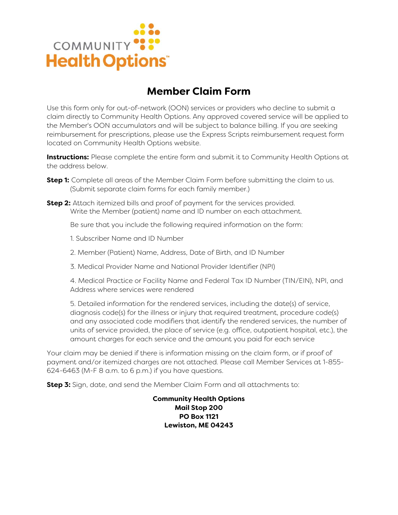

## **Member Claim Form**

Use this form only for out-of-network (OON) services or providers who decline to submit a claim directly to Community Health Options. Any approved covered service will be applied to the Member's OON accumulators and will be subject to balance billing. If you are seeking reimbursement for prescriptions, please use the Express Scripts reimbursement request form located on Community Health Options website.

**Instructions:** Please complete the entire form and submit it to Community Health Options at the address below.

- **Step 1:** Complete all areas of the Member Claim Form before submitting the claim to us. (Submit separate claim forms for each family member.)
- **Step 2:** Attach itemized bills and proof of payment for the services provided. Write the Member (patient) name and ID number on each attachment.

Be sure that you include the following required information on the form:

- 1. Subscriber Name and ID Number
- 2. Member (Patient) Name, Address, Date of Birth, and ID Number
- 3. Medical Provider Name and National Provider Identifier (NPI)

4. Medical Practice or Facility Name and Federal Tax ID Number (TIN/EIN), NPI, and Address where services were rendered

5. Detailed information for the rendered services, including the date(s) of service, diagnosis code(s) for the illness or injury that required treatment, procedure code(s) and any associated code modifiers that identify the rendered services, the number of units of service provided, the place of service (e.g. office, outpatient hospital, etc.), the amount charges for each service and the amount you paid for each service

Your claim may be denied if there is information missing on the claim form, or if proof of payment and/or itemized charges are not attached. Please call Member Services at 1-855- 624-6463 (M-F 8 a.m. to 6 p.m.) if you have questions.

**Step 3:** Sign, date, and send the Member Claim Form and all attachments to:

**Community Health Options Mail Stop 200 PO Box 1121 Lewiston, ME 04243**